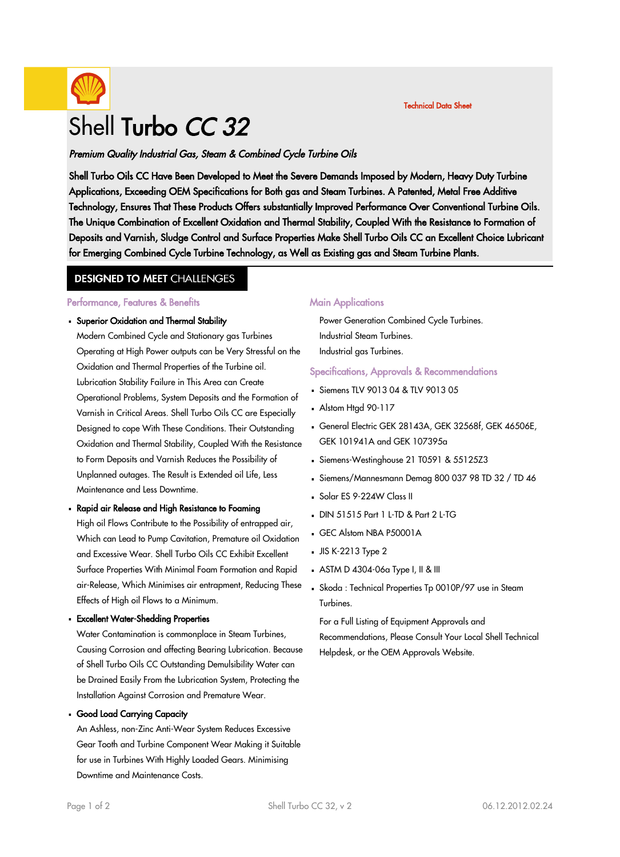

# Shell Turbo CC 32

Premium Quality Industrial Gas, Steam & Combined Cycle Turbine Oils

Shell Turbo Oils CC Have Been Developed to Meet the Severe Demands Imposed by Modern, Heavy Duty Turbine Applications, Exceeding OEM Specifications for Both gas and Steam Turbines. A Patented, Metal Free Additive Technology, Ensures That These Products Offers substantially Improved Performance Over Conventional Turbine Oils. The Unique Combination of Excellent Oxidation and Thermal Stability, Coupled With the Resistance to Formation of Deposits and Varnish, Sludge Control and Surface Properties Make Shell Turbo Oils CC an Excellent Choice Lubricant for Emerging Combined Cycle Turbine Technology, as Well as Existing gas and Steam Turbine Plants.

### **DESIGNED TO MEET CHALLENGES**

#### Performance, Features & Benefits

# Superior Oxidation and Thermal Stability ·

Modern Combined Cycle and Stationary gas Turbines Operating at High Power outputs can be Very Stressful on the Oxidation and Thermal Properties of the Turbine oil. Lubrication Stability Failure in This Area can Create Operational Problems, System Deposits and the Formation of Varnish in Critical Areas. Shell Turbo Oils CC are Especially Designed to cope With These Conditions. Their Outstanding Oxidation and Thermal Stability, Coupled With the Resistance to Form Deposits and Varnish Reduces the Possibility of Unplanned outages. The Result is Extended oil Life, Less Maintenance and Less Downtime.

# - Rapid air Release and High Resistance to Foaming

High oil Flows Contribute to the Possibility of entrapped air, Which can Lead to Pump Cavitation, Premature oil Oxidation and Excessive Wear. Shell Turbo Oils CC Exhibit Excellent Surface Properties With Minimal Foam Formation and Rapid air-Release, Which Minimises air entrapment, Reducing These Effects of High oil Flows to a Minimum.

# Excellent Water-Shedding Properties ·

Water Contamination is commonplace in Steam Turbines, Causing Corrosion and affecting Bearing Lubrication. Because of Shell Turbo Oils CC Outstanding Demulsibility Water can be Drained Easily From the Lubrication System, Protecting the Installation Against Corrosion and Premature Wear.

# Good Load Carrying Capacity ·

An Ashless, non-Zinc Anti-Wear System Reduces Excessive Gear Tooth and Turbine Component Wear Making it Suitable for use in Turbines With Highly Loaded Gears. Minimising Downtime and Maintenance Costs.

### **Main Applications**

Power Generation Combined Cycle Turbines. Industrial Steam Turbines. Industrial gas Turbines.

#### Specifications, Approvals & Recommendations

- Siemens TLV 9013 04 & TLV 9013 05
- Alstom Htgd 90-117
- General Electric GEK 28143A, GEK 32568f, GEK 46506E, · GEK 101941A and GEK 107395a

Technical Data Sheet

- Siemens-Westinghouse 21 T0591 & 55125Z3
- Siemens/Mannesmann Demag 800 037 98 TD 32 / TD 46 ·
- Solar ES 9-224W Class II
- $-DIN 51515$  Part 1 L-TD & Part 2 L-TG
- GEC Alstom NBA P50001A
- $JIS K-2213$  Type 2
- $\blacksquare$  ASTM D 4304-06a Type I, II & III
- Skoda : Technical Properties Tp 0010P/97 use in Steam · Turbines.

For a Full Listing of Equipment Approvals and Recommendations, Please Consult Your Local Shell Technical Helpdesk, or the OEM Approvals Website.